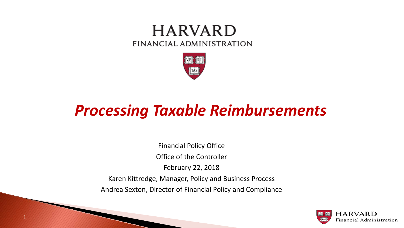#### **HARVARD** FINANCIAL ADMINISTRATION



## *Processing Taxable Reimbursements*

Financial Policy Office Office of the Controller February 22, 2018 Karen Kittredge, Manager, Policy and Business Process Andrea Sexton, Director of Financial Policy and Compliance

1

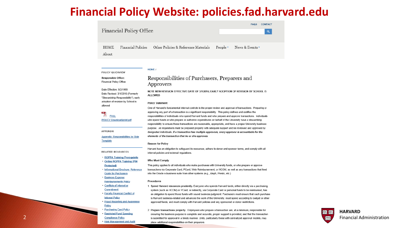#### **Financial Policy Website: policies.fad.harvard.edu**

| <b>Financial Policy Office</b> |                    |                                      |                                 | <b>FAQS</b>     | <b>CONTACT</b><br>$\alpha$ |
|--------------------------------|--------------------|--------------------------------------|---------------------------------|-----------------|----------------------------|
| HOME<br>About                  | Financial Policies | Other Policies & Reference Materials | People $\overline{\phantom{a}}$ | News & Events ▼ |                            |

#### HOME /

POLICY QUICKVIEW Responsible Office: Financial Policy Office

Date Effective: 9/2/1999

Date Revised: 3/1/2016 (Formerly

"Stewardship Responsibility"), early adoption of revision by School is

#### Responsibilities of Purchasers, Preparers and Approvers

NOTE NEW REVISION EFFECTIVE DATE OF 3/1/2016; EARLY ADOPTION OF REVISION BY SCHOOL IS **ALLOWED** 

#### **Policy Statement**

≻ **FULL POLICY Download/print.pdf** 

allowed

**APPENDIX** 

Template

One of Harvard's fundamental internal controls is the proper review and approval of transactions. Preparing or approving any part of a transaction is a significant responsibility. This policy defines and codifies the responsibilities of individuals who spend Harvard funds and who prepare and approve transactions. Individuals who spend funds or who prepare or authorize expenditures on behalf of the University have a stewardship responsibility to ensure those transactions are reasonable, appropriate, and have a proper University business purpose. All requisitions must be prepared properly with adequate support and be reviewed and approved by designated individuals. If a transaction has multiple approvers, every approver is accountable for the elements of the transaction that he or she approves.

#### **Reason for Policy**

Harvard has an obligation to safeguard its resources, adhere to donor and sponsor terms, and comply with all internal policies and external regulations.

• ROPPA Training Prerequisite • Online ROPPA Training (PIN **Protected** 

**Appendix: Responsibilities by Role** 

• Informational Brochure: Reference **Guide for Purchasers** 

• Business Expense **Reimbursements Policy** 

**RELATED RESOURCES** 

• Conflicts of Interest or Commitment

- Faculty Financial Conflict of **Interest Policy**
- Fraud Reporting and Awareness Policy
- · Purchasing Card Policy **Restricted Fund Spending Compliance Policy**

· Risk Management and Audit

**Who Must Comply** 

This policy applies to all individuals who make purchases with University funds, or who prepare or approve transactions via Corporate Card, PCard, Web Reimbursement, or HCOM, as well as any transactions that feed into the Oracle e-business suite from other systems (e.g., Aleph, Presto, etc.)

#### **Procedures**

- 1. Spend Harvard resources prudently. Everyone who spends Harvard funds, either directly via a purchasing system (such as HCOM) or PCard, or indirectly, via Corporate Card or personal funds to be reimbursed, has an obligation to spend those funds with sound business judgment. Purchasers must ensure that each purchase is Harvard business-related and advances the work of the University, must spend according to budget or other approved funds, and must comply with Harvard policies and any sponsored or donor restrictions.
- 2. Prepare transactions properly. Employees who prepare a transaction are, at a minimum, responsible for ensuring the business purpose is complete and accurate, proper support is provided, and that the transaction is submitted for approval in a timely manner. Units, particularly those with centralized approval models, may place additional responsibilities on their preparers.

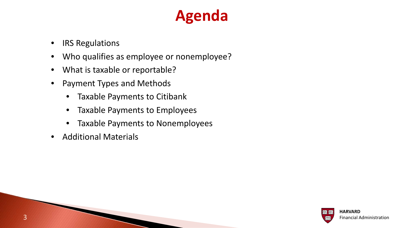# **Agenda**

- IRS Regulations
- Who qualifies as employee or nonemployee?
- What is taxable or reportable?
- Payment Types and Methods
	- Taxable Payments to Citibank
	- Taxable Payments to Employees
	- Taxable Payments to Nonemployees
- Additional Materials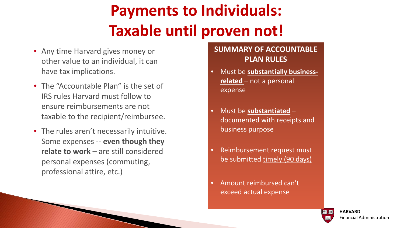# **Payments to Individuals: Taxable until proven not!**

- Any time Harvard gives money or other value to an individual, it can have tax implications.
- The "Accountable Plan" is the set of IRS rules Harvard must follow to ensure reimbursements are not taxable to the recipient/reimbursee.
- The rules aren't necessarily intuitive. Some expenses -- **even though they relate to work** – are still considered personal expenses (commuting, professional attire, etc.)

#### **SUMMARY OF ACCOUNTABLE PLAN RULES**

- Must be **substantially businessrelated** – not a personal expense
- Must be **substantiated** documented with receipts and business purpose
- Reimbursement request must be submitted timely (90 days)
- Amount reimbursed can't exceed actual expense

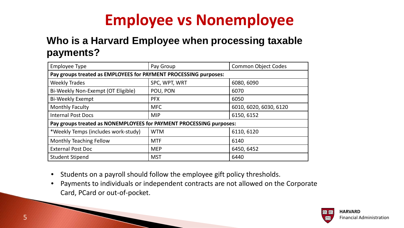# **Employee vs Nonemployee**

#### **Who is a Harvard Employee when processing taxable payments?**

| <b>Employee Type</b>                                                | Pay Group     | <b>Common Object Codes</b> |  |  |
|---------------------------------------------------------------------|---------------|----------------------------|--|--|
| Pay groups treated as EMPLOYEES for PAYMENT PROCESSING purposes:    |               |                            |  |  |
| <b>Weekly Trades</b>                                                | SPC, WPT, WRT | 6080, 6090                 |  |  |
| Bi-Weekly Non-Exempt (OT Eligible)                                  | POU, PON      | 6070                       |  |  |
| <b>Bi-Weekly Exempt</b>                                             | <b>PFX</b>    | 6050                       |  |  |
| <b>Monthly Faculty</b>                                              | <b>MFC</b>    | 6010, 6020, 6030, 6120     |  |  |
| <b>Internal Post Docs</b>                                           | <b>MIP</b>    | 6150, 6152                 |  |  |
| Pay groups treated as NONEMPLOYEES for PAYMENT PROCESSING purposes: |               |                            |  |  |
| *Weekly Temps (includes work-study)                                 | <b>WTM</b>    | 6110, 6120                 |  |  |
| <b>Monthly Teaching Fellow</b>                                      | <b>MTF</b>    | 6140                       |  |  |
| <b>External Post Doc</b>                                            | <b>MEP</b>    | 6450, 6452                 |  |  |
| <b>Student Stipend</b>                                              | <b>MST</b>    | 6440                       |  |  |

- Students on a payroll should follow the employee gift policy thresholds.
- Payments to individuals or independent contracts are not allowed on the Corporate Card, PCard or out-of-pocket.

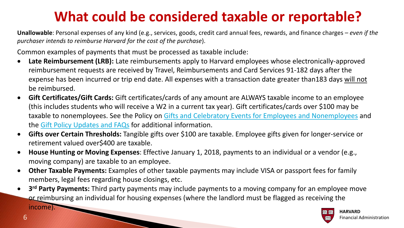### **What could be considered taxable or reportable?**

**Unallowable**: Personal expenses of any kind (e.g., services, goods, credit card annual fees, rewards, and finance charges – *even if the purchaser intends to reimburse Harvard for the cost of the purchase*).

Common examples of payments that must be processed as taxable include:

- **Late Reimbursement (LRB):** Late reimbursements apply to Harvard employees whose electronically-approved reimbursement requests are received by Travel, Reimbursements and Card Services 91-182 days after the expense has been incurred or trip end date. All expenses with a transaction date greater than183 days will not be reimbursed.
- **Gift Certificates/Gift Cards:** Gift certificates/cards of any amount are ALWAYS taxable income to an employee (this includes students who will receive a W2 in a current tax year). Gift certificates/cards over \$100 may be taxable to nonemployees. See the Policy on [Gifts and Celebratory Events for Employees and Nonemployees](https://policies.fad.harvard.edu/pages/employee-gifts-and-celebratory-events) and the [Gift Policy Updates and FAQs](https://policies.fad.harvard.edu/files/fad_policies/files/2017jun08_gift_policy_update_faq_final.pdf) for additional information.
- **Gifts over Certain Thresholds:** Tangible gifts over \$100 are taxable. Employee gifts given for longer-service or retirement valued over\$400 are taxable.
- **House Hunting or Moving Expenses**: Effective January 1, 2018, payments to an individual or a vendor (e.g., moving company) are taxable to an employee.
- **Other Taxable Payments:** Examples of other taxable payments may include VISA or passport fees for family members, legal fees regarding house closings, etc.
- **3rd Party Payments:** Third party payments may include payments to a moving company for an employee move or reimbursing an individual for housing expenses (where the landlord must be flagged as receiving the



income).

**CONTRACTOR**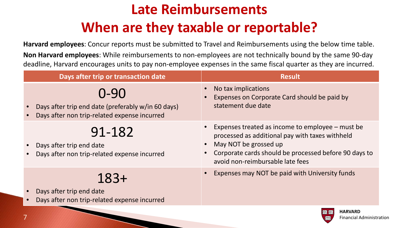## **Late Reimbursements When are they taxable or reportable?**

**Harvard employees**: Concur reports must be submitted to Travel and Reimbursements using the below time table.

**Non Harvard employees**: While reimbursements to non-employees are not technically bound by the same 90-day deadline, Harvard encourages units to pay non-employee expenses in the same fiscal quarter as they are incurred.

| Days after trip or transaction date                                                                        | <b>Result</b>                                                                                                                                                                                                             |
|------------------------------------------------------------------------------------------------------------|---------------------------------------------------------------------------------------------------------------------------------------------------------------------------------------------------------------------------|
| 0-90<br>Days after trip end date (preferably w/in 60 days)<br>Days after non trip-related expense incurred | No tax implications<br>Expenses on Corporate Card should be paid by<br>statement due date                                                                                                                                 |
| 91-182<br>Days after trip end date<br>Days after non trip-related expense incurred                         | Expenses treated as income to employee – must be<br>processed as additional pay with taxes withheld<br>May NOT be grossed up<br>Corporate cards should be processed before 90 days to<br>avoid non-reimbursable late fees |
| $183+$<br>Days after trip end date<br>Days after non trip-related expense incurred                         | Expenses may NOT be paid with University funds                                                                                                                                                                            |

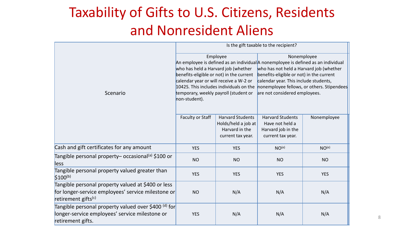### Taxability of Gifts to U.S. Citizens, Residents and Nonresident Aliens

|                                                                                                                                             | Is the gift taxable to the recipient?                                                                                                                                                                                                      |                                                                                       |                                                                                                                                                                                                                                                                                                                 |                   |
|---------------------------------------------------------------------------------------------------------------------------------------------|--------------------------------------------------------------------------------------------------------------------------------------------------------------------------------------------------------------------------------------------|---------------------------------------------------------------------------------------|-----------------------------------------------------------------------------------------------------------------------------------------------------------------------------------------------------------------------------------------------------------------------------------------------------------------|-------------------|
| Scenario                                                                                                                                    | Employee<br>who has held a Harvard job (whether<br>benefits-eligible or not) in the current<br>calendar year or will receive a W-2 or<br>1042S. This includes individuals on the<br>temporary, weekly payroll (student or<br>non-student). |                                                                                       | Nonemployee<br>An employee is defined as an individual A nonemployee is defined as an individual<br>who has not held a Harvard job (whether<br>benefits-eligible or not) in the current<br>calendar year. This include students,<br>nonemployee fellows, or others. Stipendees<br>are not considered employees. |                   |
|                                                                                                                                             | <b>Faculty or Staff</b>                                                                                                                                                                                                                    | <b>Harvard Students</b><br>Holds/held a job at<br>Harvard in the<br>current tax year. | <b>Harvard Students</b><br>Have not held a<br>Harvard job in the<br>current tax year.                                                                                                                                                                                                                           | Nonemployee       |
| Cash and gift certificates for any amount                                                                                                   | <b>YES</b>                                                                                                                                                                                                                                 | <b>YES</b>                                                                            | NO <sup>(e)</sup>                                                                                                                                                                                                                                                                                               | NO <sup>(e)</sup> |
| Tangible personal property– occasional <sup>(a)</sup> \$100 or<br>less                                                                      | <b>NO</b>                                                                                                                                                                                                                                  | <b>NO</b>                                                                             | <b>NO</b>                                                                                                                                                                                                                                                                                                       | <b>NO</b>         |
| Tangible personal property valued greater than<br>$$100^{(b)}$                                                                              | <b>YES</b>                                                                                                                                                                                                                                 | <b>YES</b>                                                                            | <b>YES</b>                                                                                                                                                                                                                                                                                                      | <b>YES</b>        |
| Tangible personal property valued at \$400 or less<br>for longer-service employees' service milestone or<br>retirement gifts <sup>(c)</sup> | <b>NO</b>                                                                                                                                                                                                                                  | N/A                                                                                   | N/A                                                                                                                                                                                                                                                                                                             | N/A               |
| Tangible personal property valued over \$400 <sup>(d)</sup> for<br>longer-service employees' service milestone or<br>retirement gifts.      | <b>YES</b>                                                                                                                                                                                                                                 | N/A                                                                                   | N/A                                                                                                                                                                                                                                                                                                             | N/A               |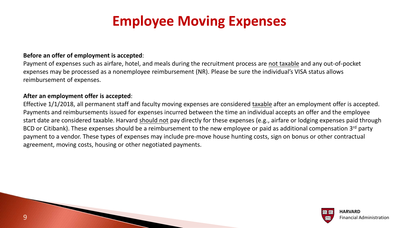### **Employee Moving Expenses**

#### **Before an offer of employment is accepted**:

Payment of expenses such as airfare, hotel, and meals during the recruitment process are not taxable and any out-of-pocket expenses may be processed as a nonemployee reimbursement (NR). Please be sure the individual's VISA status allows reimbursement of expenses.

#### **After an employment offer is accepted**:

Effective 1/1/2018, all permanent staff and faculty moving expenses are considered taxable after an employment offer is accepted. Payments and reimbursements issued for expenses incurred between the time an individual accepts an offer and the employee start date are considered taxable. Harvard should not pay directly for these expenses (e.g., airfare or lodging expenses paid through BCD or Citibank). These expenses should be a reimbursement to the new employee or paid as additional compensation 3rd party payment to a vendor. These types of expenses may include pre-move house hunting costs, sign on bonus or other contractual agreement, moving costs, housing or other negotiated payments.



9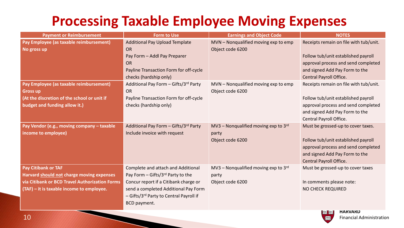#### **Processing Taxable Employee Moving Expenses**

| <b>Payment or Reimbursement</b>                                                                                                                                 | <b>Form to Use</b>                                                                                                                                                                                                  | <b>Earnings and Object Code</b>                                     | <b>NOTES</b>                                                                                                                                                                      |
|-----------------------------------------------------------------------------------------------------------------------------------------------------------------|---------------------------------------------------------------------------------------------------------------------------------------------------------------------------------------------------------------------|---------------------------------------------------------------------|-----------------------------------------------------------------------------------------------------------------------------------------------------------------------------------|
| Pay Employee (as taxable reimbursement)<br>No gross up                                                                                                          | <b>Additional Pay Upload Template</b><br><b>OR</b><br>Pay Form - Addl Pay Preparer<br><b>OR</b><br>Payline Transaction Form for off-cycle<br>checks (hardship only)                                                 | MVN - Nonqualified moving exp to emp<br>Object code 6200            | Receipts remain on file with tub/unit.<br>Follow tub/unit established payroll<br>approval process and send completed<br>and signed Add Pay Form to the<br>Central Payroll Office. |
| Pay Employee (as taxable reimbursement)<br><b>Gross up</b><br>(At the discretion of the school or unit if<br>budget and funding allow it.)                      | Additional Pay Form - Gifts/3rd Party<br><b>OR</b><br>Payline Transaction Form for off-cycle<br>checks (hardship only)                                                                                              | MVN - Nonqualified moving exp to emp<br>Object code 6200            | Receipts remain on file with tub/unit.<br>Follow tub/unit established payroll<br>approval process and send completed<br>and signed Add Pay Form to the<br>Central Payroll Office. |
| Pay Vendor (e.g., moving company - taxable<br>income to employee)                                                                                               | Additional Pay Form - Gifts/3rd Party<br>Include invoice with request                                                                                                                                               | MV3 – Nonqualified moving exp to $3rd$<br>party<br>Object code 6200 | Must be grossed-up to cover taxes.<br>Follow tub/unit established payroll<br>approval process and send completed<br>and signed Add Pay Form to the<br>Central Payroll Office.     |
| Pay Citibank or TAF<br>Harvard should not charge moving expenses<br>via Citibank or BCD Travel Authorization Forms<br>(TAF) - it is taxable income to employee. | Complete and attach and Additional<br>Pay Form - Gifts/3rd Party to the<br>Concur report if a Citibank charge or<br>send a completed Additional Pay Form<br>- Gifts/3rd Party to Central Payroll if<br>BCD payment. | MV3 - Nonqualified moving exp to $3rd$<br>party<br>Object code 6200 | Must be grossed-up to cover taxes<br>In comments please note:<br><b>NO CHECK REQUIRED</b>                                                                                         |

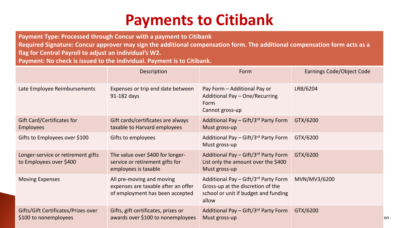# **Payments to Citibank**

**Payment Type: Processed through Concur with a payment to Citibank**

**Required Signature: Concur approver may sign the additional compensation form. The additional compensation form acts as a flag for Central Payroll to adjust an individual's W2.** 

**Payment: No check is issued to the individual. Payment is to Citibank.**

|                                                               | Description                                                                                         | Form                                                                                                                       | <b>Earnings Code/Object Code</b> |
|---------------------------------------------------------------|-----------------------------------------------------------------------------------------------------|----------------------------------------------------------------------------------------------------------------------------|----------------------------------|
| Late Employee Reimbursements                                  | Expenses or trip end date between<br>91-182 days                                                    | Pay Form - Additional Pay or<br>Additional Pay - One/Recurring<br>Form<br>Cannot gross-up                                  | LRB/6204                         |
| <b>Gift Card/Certificates for</b><br><b>Employees</b>         | Gift cards/certificates are always<br>taxable to Harvard employees                                  | Additional Pay - Gift/3rd Party Form<br>Must gross-up                                                                      | GTX/6200                         |
| Gifts to Employees over \$100                                 | Gifts to employees                                                                                  | Additional Pay - Gift/3rd Party Form<br>Must gross-up                                                                      | GTX/6200                         |
| Longer-service or retirement gifts<br>to Employees over \$400 | The value over \$400 for longer-<br>service or retirement gifts for<br>employees is taxable         | Additional Pay - Gift/3rd Party Form<br>List only the amount over the \$400<br>Must gross-up                               | GTX/6200                         |
| <b>Moving Expenses</b>                                        | All pre-moving and moving<br>expenses are taxable after an offer<br>of employment has been accepted | Additional Pay - Gift/3rd Party Form<br>Gross-up at the discretion of the<br>school or unit if budget and funding<br>allow | MVN/MV3/6200                     |
| Gifts/Gift Certificates/Prizes over<br>\$100 to nonemployees  | Gifts, gift certificates, prizes or<br>awards over \$100 to nonemployees                            | Additional Pay - Gift/3rd Party Form<br>Must gross-up                                                                      | GTX/6200<br>on                   |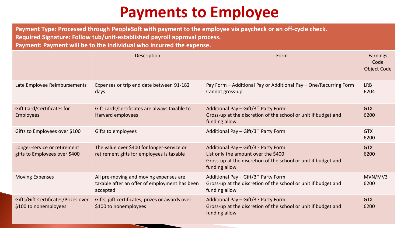## **Payments to Employee**

**Payment Type: Processed through PeopleSoft with payment to the employee via paycheck or an off-cycle check. Required Signature: Follow tub/unit-established payroll approval process. Payment: Payment will be to the individual who incurred the expense.**

|                                                               | Description                                                                                         | Form                                                                                                                                                           | Earnings<br>Code<br><b>Object Code</b> |
|---------------------------------------------------------------|-----------------------------------------------------------------------------------------------------|----------------------------------------------------------------------------------------------------------------------------------------------------------------|----------------------------------------|
| Late Employee Reimbursements                                  | Expenses or trip end date between 91-182<br>days                                                    | Pay Form - Additional Pay or Additional Pay - One/Recurring Form<br>Cannot gross-up                                                                            | <b>LRB</b><br>6204                     |
| <b>Gift Card/Certificates for</b><br><b>Employees</b>         | Gift cards/certificates are always taxable to<br>Harvard employees                                  | Additional Pay - Gift/3rd Party Form<br>Gross-up at the discretion of the school or unit if budget and<br>funding allow                                        | <b>GTX</b><br>6200                     |
| Gifts to Employees over \$100                                 | Gifts to employees                                                                                  | Additional Pay - Gift/3rd Party Form                                                                                                                           | <b>GTX</b><br>6200                     |
| Longer-service or retirement<br>gifts to Employees over \$400 | The value over \$400 for longer-service or<br>retirement gifts for employees is taxable             | Additional Pay - Gift/3rd Party Form<br>List only the amount over the \$400<br>Gross-up at the discretion of the school or unit if budget and<br>funding allow | <b>GTX</b><br>6200                     |
| <b>Moving Expenses</b>                                        | All pre-moving and moving expenses are<br>taxable after an offer of employment has been<br>accepted | Additional Pay - Gift/3rd Party Form<br>Gross-up at the discretion of the school or unit if budget and<br>funding allow                                        | MVN/MV3<br>6200                        |
| Gifts/Gift Certificates/Prizes over<br>\$100 to nonemployees  | Gifts, gift certificates, prizes or awards over<br>\$100 to nonemployees                            | Additional Pay - Gift/3rd Party Form<br>Gross-up at the discretion of the school or unit if budget and<br>funding allow                                        | <b>GTX</b><br>6200                     |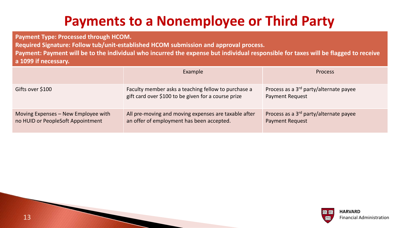### **Payments to a Nonemployee or Third Party**

**Payment Type: Processed through HCOM.**

**Required Signature: Follow tub/unit-established HCOM submission and approval process.**

**Payment: Payment will be to the individual who incurred the expense but individual responsible for taxes will be flagged to receive a 1099 if necessary.**

|                                                                          | Example                                                                                                    | <b>Process</b>                                                               |
|--------------------------------------------------------------------------|------------------------------------------------------------------------------------------------------------|------------------------------------------------------------------------------|
| Gifts over \$100                                                         | Faculty member asks a teaching fellow to purchase a<br>gift card over \$100 to be given for a course prize | Process as a 3 <sup>rd</sup> party/alternate payee<br><b>Payment Request</b> |
| Moving Expenses - New Employee with<br>no HUID or PeopleSoft Appointment | All pre-moving and moving expenses are taxable after<br>an offer of employment has been accepted.          | Process as a 3 <sup>rd</sup> party/alternate payee<br><b>Payment Request</b> |

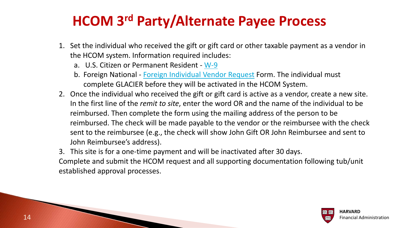#### **HCOM 3rd Party/Alternate Payee Process**

- 1. Set the individual who received the gift or gift card or other taxable payment as a vendor in the HCOM system. Information required includes:
	- a. U.S. Citizen or Permanent Resident [W-9](https://www.irs.gov/uac/about-form-w9)
	- b. Foreign National [Foreign Individual Vendor Request](https://trainingportal.harvard.edu/Saba/Web_spf/NA1PRD0068/common/resources/resourcedetail/simrs000000000003677) Form. The individual must complete GLACIER before they will be activated in the HCOM System.
- 2. Once the individual who received the gift or gift card is active as a vendor, create a new site. In the first line of the *remit to site*, enter the word OR and the name of the individual to be reimbursed. Then complete the form using the mailing address of the person to be reimbursed. The check will be made payable to the vendor or the reimbursee with the check sent to the reimbursee (e.g., the check will show John Gift OR John Reimbursee and sent to John Reimbursee's address).
- 3. This site is for a one-time payment and will be inactivated after 30 days.

Complete and submit the HCOM request and all supporting documentation following tub/unit established approval processes.



14